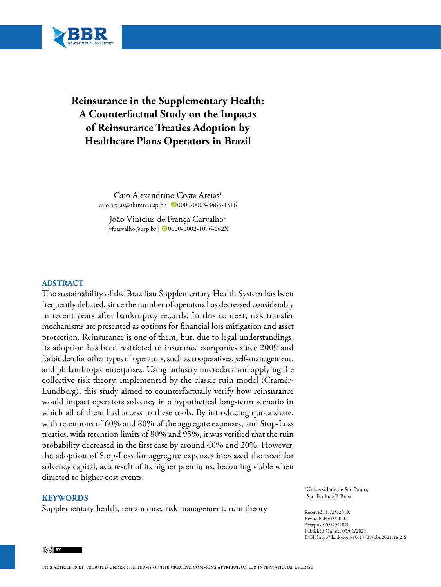

# **Reinsurance in the Supplementary Health: A Counterfactual Study on the Impacts of Reinsurance Treaties Adoption by Healthcare Plans Operators in Brazil**

Caio Alexandrino Costa Areias<sup>1</sup> caio.areias@alumni.usp.br | 0[0000-0003-3463-1516](http://orcid.org/0000-0003-3463-1516)

João Vinícius de França Carvalho<sup>1</sup> jvfcarvalho@usp.br | 0[0000-0002-1076-662X](http://orcid.org/0000-0002-1076-662X)

#### **ABSTRACT**

The sustainability of the Brazilian Supplementary Health System has been frequently debated, since the number of operators has decreased considerably in recent years after bankruptcy records. In this context, risk transfer mechanisms are presented as options for financial loss mitigation and asset protection. Reinsurance is one of them, but, due to legal understandings, its adoption has been restricted to insurance companies since 2009 and forbidden for other types of operators, such as cooperatives, self-management, and philanthropic enterprises. Using industry microdata and applying the collective risk theory, implemented by the classic ruin model (Cramér-Lundberg), this study aimed to counterfactually verify how reinsurance would impact operators solvency in a hypothetical long-term scenario in which all of them had access to these tools. By introducing quota share, with retentions of 60% and 80% of the aggregate expenses, and Stop-Loss treaties, with retention limits of 80% and 95%, it was verified that the ruin probability decreased in the first case by around 40% and 20%. However, the adoption of Stop-Loss for aggregate expenses increased the need for solvency capital, as a result of its higher premiums, becoming viable when directed to higher cost events.

#### **KEYWORDS**

Supplementary health, reinsurance, risk management, ruin theory

1 Universidade de São Paulo, São Paulo, SP, Brasil

Received: 11/25/2019. Revised: 04/03/2020. Accepted: 05/25/2020. Published Online: 03/01/2021. DOI: [http://dx.doi.org/10.15728/bbr.2021.18.2.](http://dx.doi.org/10.15728/bbr.2021.18.2.6)6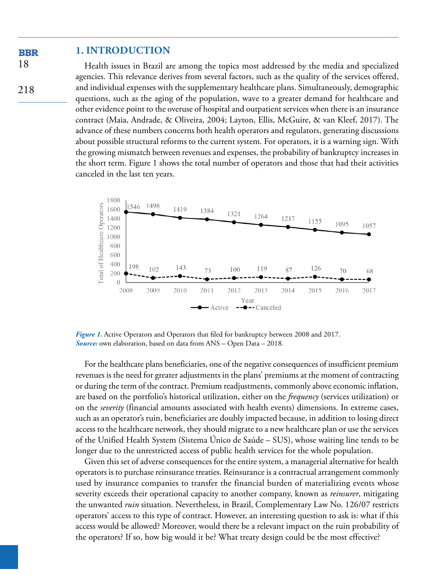#### **1. INTRODUCTION BBR**

18

218

Health issues in Brazil are among the topics most addressed by the media and specialized agencies. This relevance derives from several factors, such as the quality of the services offered, and individual expenses with the supplementary healthcare plans. Simultaneously, demographic questions, such as the aging of the population, wave to a greater demand for healthcare and other evidence point to the overuse of hospital and outpatient services when there is an insurance contract (Maia, Andrade, & Oliveira, 2004; Layton, Ellis, McGuire, & van Kleef, 2017). The advance of these numbers concerns both health operators and regulators, generating discussions about possible structural reforms to the current system. For operators, it is a warning sign. With the growing mismatch between revenues and expenses, the probability of bankruptcy increases in the short term. Figure 1 shows the total number of operators and those that had their activities canceled in the last ten years.



*Figure 1.* Active Operators and Operators that filed for bankruptcy between 2008 and 2017. *Source:* own elaboration, based on data from ANS – Open Data – 2018*.*

For the healthcare plans beneficiaries, one of the negative consequences of insufficient premium revenues is the need for greater adjustments in the plans' premiums at the moment of contracting or during the term of the contract. Premium readjustments, commonly above economic inflation, are based on the portfolio's historical utilization, either on the *frequency* (services utilization) or on the *severity* (financial amounts associated with health events) dimensions. In extreme cases, such as an operator's ruin, beneficiaries are doubly impacted because, in addition to losing direct access to the healthcare network, they should migrate to a new healthcare plan or use the services of the Unified Health System (Sistema Único de Saúde – SUS), whose waiting line tends to be longer due to the unrestricted access of public health services for the whole population.

Given this set of adverse consequences for the entire system, a managerial alternative for health operators is to purchase reinsurance treaties. Reinsurance is a contractual arrangement commonly used by insurance companies to transfer the financial burden of materializing events whose severity exceeds their operational capacity to another company, known as *reinsurer*, mitigating the unwanted *ruin* situation. Nevertheless, in Brazil, Complementary Law No. 126/07 restricts operators' access to this type of contract. However, an interesting question to ask is: what if this access would be allowed? Moreover, would there be a relevant impact on the ruin probability of the operators? If so, how big would it be? What treaty design could be the most effective?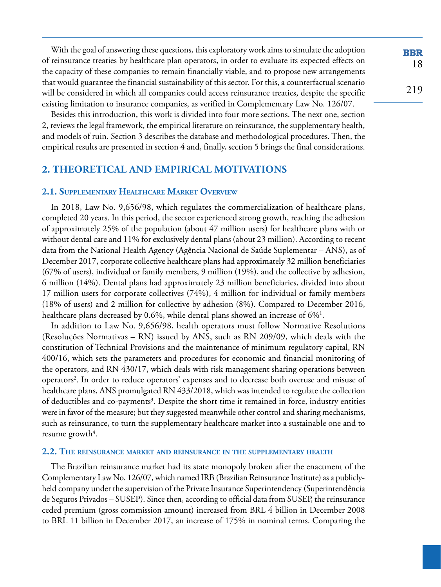With the goal of answering these questions, this exploratory work aims to simulate the adoption of reinsurance treaties by healthcare plan operators, in order to evaluate its expected effects on the capacity of these companies to remain financially viable, and to propose new arrangements that would guarantee the financial sustainability of this sector. For this, a counterfactual scenario will be considered in which all companies could access reinsurance treaties, despite the specific existing limitation to insurance companies, as verified in Complementary Law No. 126/07.

Besides this introduction, this work is divided into four more sections. The next one, section 2, reviews the legal framework, the empirical literature on reinsurance, the supplementary health, and models of ruin. Section 3 describes the database and methodological procedures. Then, the empirical results are presented in section 4 and, finally, section 5 brings the final considerations.

## **2. THEORETICAL AND EMPIRICAL MOTIVATIONS**

#### **2.1. Supplementary Healthcare Market Overview**

In 2018, Law No. 9,656/98, which regulates the commercialization of healthcare plans, completed 20 years. In this period, the sector experienced strong growth, reaching the adhesion of approximately 25% of the population (about 47 million users) for healthcare plans with or without dental care and 11% for exclusively dental plans (about 23 million). According to recent data from the National Health Agency (Agência Nacional de Saúde Suplementar – ANS), as of December 2017, corporate collective healthcare plans had approximately 32 million beneficiaries (67% of users), individual or family members, 9 million (19%), and the collective by adhesion, 6 million (14%). Dental plans had approximately 23 million beneficiaries, divided into about 17 million users for corporate collectives (74%), 4 million for individual or family members (18% of users) and 2 million for collective by adhesion (8%). Compared to December 2016, healthcare plans decreased by 0.6%, while dental plans showed an increase of 6% $^{\rm l}$ .

In addition to Law No. 9,656/98, health operators must follow Normative Resolutions (Resoluções Normativas – RN) issued by ANS, such as RN 209/09, which deals with the constitution of Technical Provisions and the maintenance of minimum regulatory capital, RN 400/16, which sets the parameters and procedures for economic and financial monitoring of the operators, and RN 430/17, which deals with risk management sharing operations between operators<sup>2</sup>. In order to reduce operators' expenses and to decrease both overuse and misuse of healthcare plans, ANS promulgated RN 433/2018, which was intended to regulate the collection of deductibles and co-payments<sup>3</sup>. Despite the short time it remained in force, industry entities were in favor of the measure; but they suggested meanwhile other control and sharing mechanisms, such as reinsurance, to turn the supplementary healthcare market into a sustainable one and to resume growth<sup>4</sup>.

#### **2.2. The reinsurance market and reinsurance in the supplementary health**

The Brazilian reinsurance market had its state monopoly broken after the enactment of the Complementary Law No. 126/07, which named IRB (Brazilian Reinsurance Institute) as a publiclyheld company under the supervision of the Private Insurance Superintendency (Superintendência de Seguros Privados – SUSEP). Since then, according to official data from SUSEP, the reinsurance ceded premium (gross commission amount) increased from BRL 4 billion in December 2008 to BRL 11 billion in December 2017, an increase of 175% in nominal terms. Comparing the **BBR** 18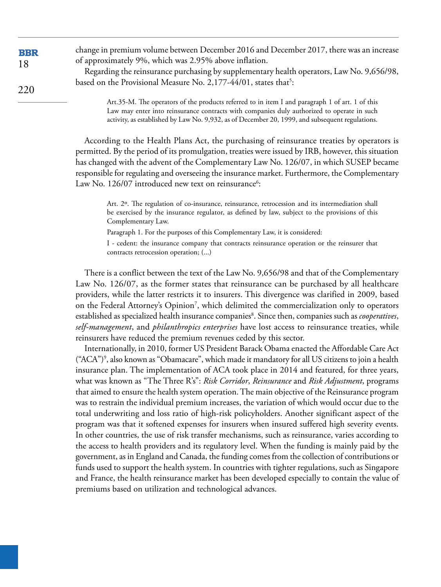| <b>BBR</b> | change in premium volume between December 2016 and December 2017, there was an increase                                                                                                       |
|------------|-----------------------------------------------------------------------------------------------------------------------------------------------------------------------------------------------|
| 18         | of approximately 9%, which was 2.95% above inflation.                                                                                                                                         |
|            | Regarding the reinsurance purchasing by supplementary health operators, Law No. 9,656/98,                                                                                                     |
|            | based on the Provisional Measure No. 2,177-44/01, states that <sup>5</sup> :                                                                                                                  |
| 220        |                                                                                                                                                                                               |
|            | Art.35-M. The operators of the products referred to in item I and paragraph 1 of art. 1 of this                                                                                               |
|            | Law may enter into reinsurance contracts with companies duly authorized to operate in such<br>activity, as established by Law No. 9,932, as of December 20, 1999, and subsequent regulations. |

According to the Health Plans Act, the purchasing of reinsurance treaties by operators is permitted. By the period of its promulgation, treaties were issued by IRB, however, this situation has changed with the advent of the Complementary Law No. 126/07, in which SUSEP became responsible for regulating and overseeing the insurance market. Furthermore, the Complementary Law No. 126/07 introduced new text on reinsurance $6$ :

Art. 2º. The regulation of co-insurance, reinsurance, retrocession and its intermediation shall be exercised by the insurance regulator, as defined by law, subject to the provisions of this Complementary Law.

Paragraph 1. For the purposes of this Complementary Law, it is considered:

I - cedent: the insurance company that contracts reinsurance operation or the reinsurer that contracts retrocession operation; (...)

There is a conflict between the text of the Law No. 9,656/98 and that of the Complementary Law No. 126/07, as the former states that reinsurance can be purchased by all healthcare providers, while the latter restricts it to insurers. This divergence was clarified in 2009, based on the Federal Attorney's Opinion<sup>7</sup>, which delimited the commercialization only to operators established as specialized health insurance companies<sup>8</sup>. Since then, companies such as *cooperatives*, *self-management*, and *philanthropics enterprises* have lost access to reinsurance treaties, while reinsurers have reduced the premium revenues ceded by this sector.

Internationally, in 2010, former US President Barack Obama enacted the Affordable Care Act ("ACA")9 , also known as "Obamacare", which made it mandatory for all US citizens to join a health insurance plan. The implementation of ACA took place in 2014 and featured, for three years, what was known as "The Three R's": *Risk Corridor*, *Reinsurance* and *Risk Adjustment*, programs that aimed to ensure the health system operation. The main objective of the Reinsurance program was to restrain the individual premium increases, the variation of which would occur due to the total underwriting and loss ratio of high-risk policyholders. Another significant aspect of the program was that it softened expenses for insurers when insured suffered high severity events. In other countries, the use of risk transfer mechanisms, such as reinsurance, varies according to the access to health providers and its regulatory level. When the funding is mainly paid by the government, as in England and Canada, the funding comes from the collection of contributions or funds used to support the health system. In countries with tighter regulations, such as Singapore and France, the health reinsurance market has been developed especially to contain the value of premiums based on utilization and technological advances.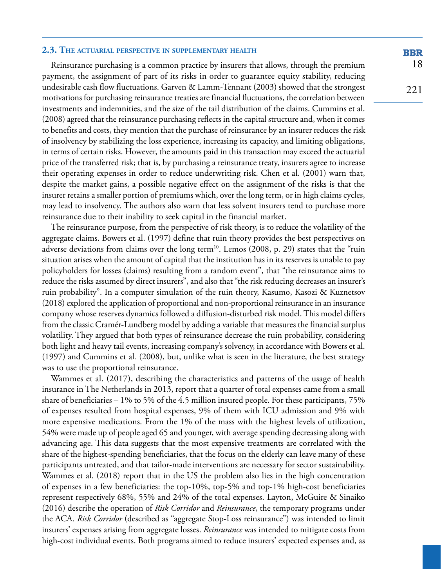#### **2.3. The actuarial perspective in supplementary health**

Reinsurance purchasing is a common practice by insurers that allows, through the premium payment, the assignment of part of its risks in order to guarantee equity stability, reducing undesirable cash flow fluctuations. Garven & Lamm-Tennant (2003) showed that the strongest motivations for purchasing reinsurance treaties are financial fluctuations, the correlation between investments and indemnities, and the size of the tail distribution of the claims. Cummins et al. (2008) agreed that the reinsurance purchasing reflects in the capital structure and, when it comes to benefits and costs, they mention that the purchase of reinsurance by an insurer reduces the risk of insolvency by stabilizing the loss experience, increasing its capacity, and limiting obligations, in terms of certain risks. However, the amounts paid in this transaction may exceed the actuarial price of the transferred risk; that is, by purchasing a reinsurance treaty, insurers agree to increase their operating expenses in order to reduce underwriting risk. Chen et al. (2001) warn that, despite the market gains, a possible negative effect on the assignment of the risks is that the insurer retains a smaller portion of premiums which, over the long term, or in high claims cycles, may lead to insolvency. The authors also warn that less solvent insurers tend to purchase more reinsurance due to their inability to seek capital in the financial market.

The reinsurance purpose, from the perspective of risk theory, is to reduce the volatility of the aggregate claims. Bowers et al. (1997) define that ruin theory provides the best perspectives on adverse deviations from claims over the long term<sup>10</sup>. Lemos (2008, p. 29) states that the "ruin situation arises when the amount of capital that the institution has in its reserves is unable to pay policyholders for losses (claims) resulting from a random event", that "the reinsurance aims to reduce the risks assumed by direct insurers", and also that "the risk reducing decreases an insurer's ruin probability". In a computer simulation of the ruin theory, Kasumo, Kasozi & Kuznetsov (2018) explored the application of proportional and non-proportional reinsurance in an insurance company whose reserves dynamics followed a diffusion-disturbed risk model. This model differs from the classic Cramér-Lundberg model by adding a variable that measures the financial surplus volatility. They argued that both types of reinsurance decrease the ruin probability, considering both light and heavy tail events, increasing company's solvency, in accordance with Bowers et al. (1997) and Cummins et al*.* (2008), but, unlike what is seen in the literature, the best strategy was to use the proportional reinsurance.

Wammes et al. (2017), describing the characteristics and patterns of the usage of health insurance in The Netherlands in 2013, report that a quarter of total expenses came from a small share of beneficiaries – 1% to 5% of the 4.5 million insured people. For these participants, 75% of expenses resulted from hospital expenses, 9% of them with ICU admission and 9% with more expensive medications. From the 1% of the mass with the highest levels of utilization, 54% were made up of people aged 65 and younger, with average spending decreasing along with advancing age. This data suggests that the most expensive treatments are correlated with the share of the highest-spending beneficiaries, that the focus on the elderly can leave many of these participants untreated, and that tailor-made interventions are necessary for sector sustainability. Wammes et al. (2018) report that in the US the problem also lies in the high concentration of expenses in a few beneficiaries: the top-10%, top-5% and top-1% high-cost beneficiaries represent respectively 68%, 55% and 24% of the total expenses. Layton, McGuire & Sinaiko (2016) describe the operation of *Risk Corridor* and *Reinsurance*, the temporary programs under the ACA. *Risk Corridor* (described as "aggregate Stop-Loss reinsurance") was intended to limit insurers' expenses arising from aggregate losses. *Reinsurance* was intended to mitigate costs from high-cost individual events. Both programs aimed to reduce insurers' expected expenses and, as

**BBR** 18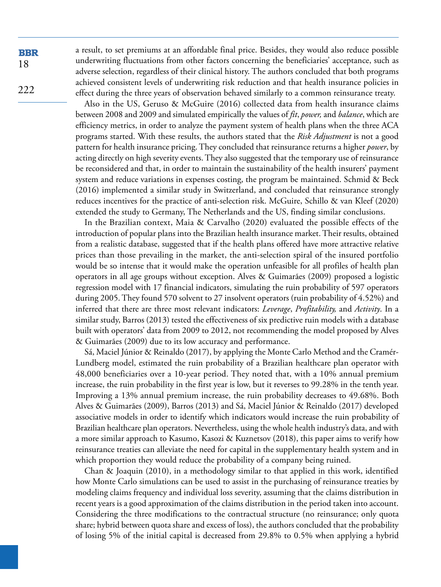**BBR** 18

222

a result, to set premiums at an affordable final price. Besides, they would also reduce possible underwriting fluctuations from other factors concerning the beneficiaries' acceptance, such as adverse selection, regardless of their clinical history. The authors concluded that both programs achieved consistent levels of underwriting risk reduction and that health insurance policies in effect during the three years of observation behaved similarly to a common reinsurance treaty.

Also in the US, Geruso & McGuire (2016) collected data from health insurance claims between 2008 and 2009 and simulated empirically the values of *fit*, *power,* and *balance*, which are efficiency metrics, in order to analyze the payment system of health plans when the three ACA programs started. With these results, the authors stated that the *Risk Adjustment* is not a good pattern for health insurance pricing. They concluded that reinsurance returns a higher *power*, by acting directly on high severity events. They also suggested that the temporary use of reinsurance be reconsidered and that, in order to maintain the sustainability of the health insurers' payment system and reduce variations in expenses costing, the program be maintained. Schmid & Beck (2016) implemented a similar study in Switzerland, and concluded that reinsurance strongly reduces incentives for the practice of anti-selection risk. McGuire, Schillo & van Kleef (2020) extended the study to Germany, The Netherlands and the US, finding similar conclusions.

In the Brazilian context, Maia & Carvalho (2020) evaluated the possible effects of the introduction of popular plans into the Brazilian health insurance market. Their results, obtained from a realistic database, suggested that if the health plans offered have more attractive relative prices than those prevailing in the market, the anti-selection spiral of the insured portfolio would be so intense that it would make the operation unfeasible for all profiles of health plan operators in all age groups without exception. Alves & Guimarães (2009) proposed a logistic regression model with 17 financial indicators, simulating the ruin probability of 597 operators during 2005. They found 570 solvent to 27 insolvent operators (ruin probability of 4.52%) and inferred that there are three most relevant indicators: *Leverage*, *Profitability,* and *Activity*. In a similar study, Barros (2013) tested the effectiveness of six predictive ruin models with a database built with operators' data from 2009 to 2012, not recommending the model proposed by Alves & Guimarães (2009) due to its low accuracy and performance.

Sá, Maciel Júnior & Reinaldo (2017), by applying the Monte Carlo Method and the Cramér-Lundberg model, estimated the ruin probability of a Brazilian healthcare plan operator with 48,000 beneficiaries over a 10-year period. They noted that, with a 10% annual premium increase, the ruin probability in the first year is low, but it reverses to 99.28% in the tenth year. Improving a 13% annual premium increase, the ruin probability decreases to 49.68%. Both Alves & Guimarães (2009), Barros (2013) and Sá, Maciel Júnior & Reinaldo (2017) developed associative models in order to identify which indicators would increase the ruin probability of Brazilian healthcare plan operators. Nevertheless, using the whole health industry's data, and with a more similar approach to Kasumo, Kasozi & Kuznetsov (2018), this paper aims to verify how reinsurance treaties can alleviate the need for capital in the supplementary health system and in which proportion they would reduce the probability of a company being ruined.

Chan & Joaquin (2010), in a methodology similar to that applied in this work, identified how Monte Carlo simulations can be used to assist in the purchasing of reinsurance treaties by modeling claims frequency and individual loss severity, assuming that the claims distribution in recent years is a good approximation of the claims distribution in the period taken into account. Considering the three modifications to the contractual structure (no reinsurance; only quota share; hybrid between quota share and excess of loss), the authors concluded that the probability of losing 5% of the initial capital is decreased from 29.8% to 0.5% when applying a hybrid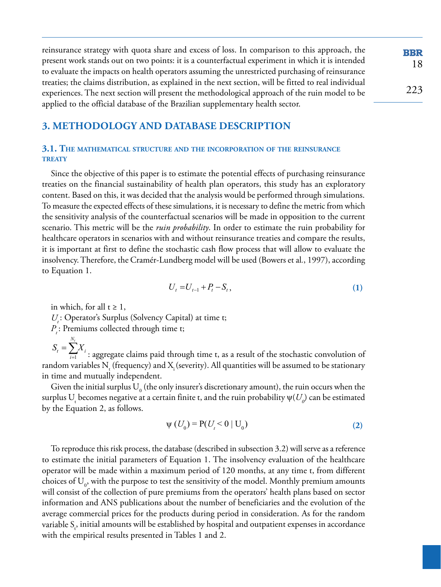reinsurance strategy with quota share and excess of loss. In comparison to this approach, the **BBR** present work stands out on two points: it is a counterfactual experiment in which it is intended to evaluate the impacts on health operators assuming the unrestricted purchasing of reinsurance treaties; the claims distribution, as explained in the next section, will be fitted to real individual experiences. The next section will present the methodological approach of the ruin model to be applied to the official database of the Brazilian supplementary health sector.

## **3. METHODOLOGY AND DATABASE DESCRIPTION**

#### **3.1. The mathematical structure and the incorporation of the reinsurance treaty**

Since the objective of this paper is to estimate the potential effects of purchasing reinsurance treaties on the financial sustainability of health plan operators, this study has an exploratory content. Based on this, it was decided that the analysis would be performed through simulations. To measure the expected effects of these simulations, it is necessary to define the metric from which the sensitivity analysis of the counterfactual scenarios will be made in opposition to the current scenario. This metric will be the *ruin probability*. In order to estimate the ruin probability for healthcare operators in scenarios with and without reinsurance treaties and compare the results, it is important at first to define the stochastic cash flow process that will allow to evaluate the insolvency. Therefore, the Cramér-Lundberg model will be used (Bowers et al*.*, 1997), according to Equation 1.

$$
U_t = U_{t-1} + P_t - S_t, \tag{1}
$$

in which, for all  $t \geq 1$ ,

*U<sub>i</sub>*: Operator's Surplus (Solvency Capital) at time t;

 $P_{i}$ : Premiums collected through time t;

*Nt*  $t = \sum_i A_i$  $S_t = \sum X$ 

1 *i*  $=\sum_{i=1}^{n} X_i$  : aggregate claims paid through time t, as a result of the stochastic convolution of random variables  $N_{\rm t}$  (frequency) and  $X_{\rm i}$  (severity). All quantities will be assumed to be stationary in time and mutually independent.

Given the initial surplus  ${\rm U}_{_{0}}$  (the only insurer's discretionary amount), the ruin occurs when the surplus  ${\rm U}_{{\rm t}}$  becomes negative at a certain finite t, and the ruin probability  $\psi(U_{\varrho})$  can be estimated by the Equation 2, as follows.

$$
\psi\left(U_{0}\right) = P(U_{t} < 0 \mid U_{0})\tag{2}
$$

To reproduce this risk process, the database (described in subsection 3.2) will serve as a reference to estimate the initial parameters of Equation 1. The insolvency evaluation of the healthcare operator will be made within a maximum period of 120 months, at any time t, from different choices of  ${\rm U}_{_{0}}$ , with the purpose to test the sensitivity of the model. Monthly premium amounts will consist of the collection of pure premiums from the operators' health plans based on sector information and ANS publications about the number of beneficiaries and the evolution of the average commercial prices for the products during period in consideration. As for the random variable  $\mathsf{S}_\mathsf{r}$ , initial amounts will be established by hospital and outpatient expenses in accordance with the empirical results presented in Tables 1 and 2.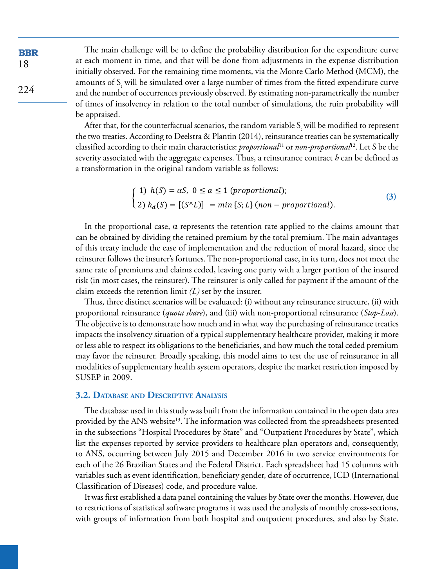The main challenge will be to define the probability distribution for the expenditure curve at each moment in time, and that will be done from adjustments in the expense distribution initially observed. For the remaining time moments, via the Monte Carlo Method (MCM), the amounts of  $S_{\rm t}$  will be simulated over a large number of times from the fitted expenditure curve and the number of occurrences previously observed. By estimating non-parametrically the number of times of insolvency in relation to the total number of simulations, the ruin probability will be appraised.

After that, for the counterfactual scenarios, the random variable  $S_{\epsilon}$  will be modified to represent the two treaties. According to Deelstra & Plantin (2014), reinsurance treaties can be systematically classified according to their main characteristics: *proportional*11 or *non-proportional*12. Let S be the severity associated with the aggregate expenses. Thus, a reinsurance contract *h* can be defined as a transformation in the original random variable as follows:

$$
\begin{cases}\n1) \ h(S) = \alpha S, \ 0 \le \alpha \le 1 \ (proportional); \\
2) \ h_d(S) = [(S^{\wedge}L)] = \min \{S; L\} \ (non-proportional).\n\end{cases} \tag{3}
$$

In the proportional case,  $\alpha$  represents the retention rate applied to the claims amount that can be obtained by dividing the retained premium by the total premium. The main advantages of this treaty include the ease of implementation and the reduction of moral hazard, since the reinsurer follows the insurer's fortunes. The non-proportional case, in its turn, does not meet the same rate of premiums and claims ceded, leaving one party with a larger portion of the insured risk (in most cases, the reinsurer). The reinsurer is only called for payment if the amount of the claim exceeds the retention limit *(L)* set by the insurer.

Thus, three distinct scenarios will be evaluated: (i) without any reinsurance structure, (ii) with proportional reinsurance (*quota share*), and (iii) with non-proportional reinsurance (*Stop-Loss*). The objective is to demonstrate how much and in what way the purchasing of reinsurance treaties impacts the insolvency situation of a typical supplementary healthcare provider, making it more or less able to respect its obligations to the beneficiaries, and how much the total ceded premium may favor the reinsurer. Broadly speaking, this model aims to test the use of reinsurance in all modalities of supplementary health system operators, despite the market restriction imposed by SUSEP in 2009.

#### **3.2. Database and Descriptive Analysis**

The database used in this study was built from the information contained in the open data area provided by the ANS website<sup>13</sup>. The information was collected from the spreadsheets presented in the subsections "Hospital Procedures by State" and "Outpatient Procedures by State", which list the expenses reported by service providers to healthcare plan operators and, consequently, to ANS, occurring between July 2015 and December 2016 in two service environments for each of the 26 Brazilian States and the Federal District. Each spreadsheet had 15 columns with variables such as event identification, beneficiary gender, date of occurrence, ICD (International Classification of Diseases) code, and procedure value.

It was first established a data panel containing the values by State over the months. However, due to restrictions of statistical software programs it was used the analysis of monthly cross-sections, with groups of information from both hospital and outpatient procedures, and also by State.

**BBR** 18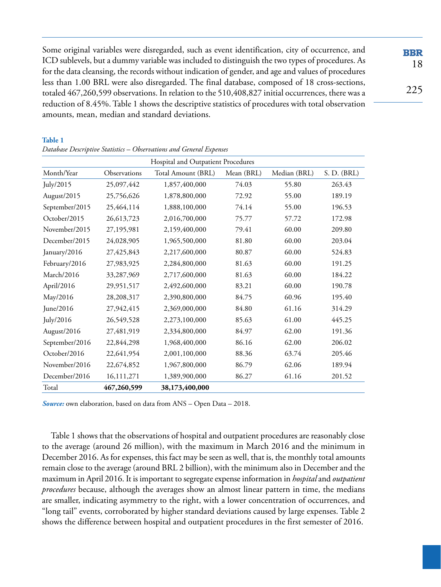Some original variables were disregarded, such as event identification, city of occurrence, and ICD sublevels, but a dummy variable was included to distinguish the two types of procedures. As for the data cleansing, the records without indication of gender, and age and values of procedures less than 1.00 BRL were also disregarded. The final database, composed of 18 cross-sections, totaled 467,260,599 observations. In relation to the 510,408,827 initial occurrences, there was a reduction of 8.45%. Table 1 shows the descriptive statistics of procedures with total observation amounts, mean, median and standard deviations.

|                | Hospital and Outpatient Procedures |                    |            |              |             |  |  |  |  |
|----------------|------------------------------------|--------------------|------------|--------------|-------------|--|--|--|--|
| Month/Year     | Observations                       | Total Amount (BRL) | Mean (BRL) | Median (BRL) | S. D. (BRL) |  |  |  |  |
| July/2015      | 25,097,442                         | 1,857,400,000      | 74.03      | 55.80        | 263.43      |  |  |  |  |
| August/2015    | 25,756,626                         | 1,878,800,000      | 72.92      | 55.00        | 189.19      |  |  |  |  |
| September/2015 | 25,464,114                         | 1,888,100,000      | 74.14      | 55.00        | 196.53      |  |  |  |  |
| October/2015   | 26,613,723                         | 2,016,700,000      | 75.77      | 57.72        | 172.98      |  |  |  |  |
| November/2015  | 27,195,981                         | 2,159,400,000      | 79.41      | 60.00        | 209.80      |  |  |  |  |
| December/2015  | 24,028,905                         | 1,965,500,000      | 81.80      | 60.00        | 203.04      |  |  |  |  |
| January/2016   | 27,425,843                         | 2,217,600,000      | 80.87      | 60.00        | 524.83      |  |  |  |  |
| February/2016  | 27,983,925                         | 2,284,800,000      | 81.63      | 60.00        | 191.25      |  |  |  |  |
| March/2016     | 33,287,969                         | 2,717,600,000      | 81.63      | 60.00        | 184.22      |  |  |  |  |
| April/2016     | 29,951,517                         | 2,492,600,000      | 83.21      | 60.00        | 190.78      |  |  |  |  |
| May/2016       | 28,208,317                         | 2,390,800,000      | 84.75      | 60.96        | 195.40      |  |  |  |  |
| June/2016      | 27,942,415                         | 2,369,000,000      | 84.80      | 61.16        | 314.29      |  |  |  |  |
| July/2016      | 26,549,528                         | 2,273,100,000      | 85.63      | 61.00        | 445.25      |  |  |  |  |
| August/2016    | 27,481,919                         | 2,334,800,000      | 84.97      | 62.00        | 191.36      |  |  |  |  |
| September/2016 | 22,844,298                         | 1,968,400,000      | 86.16      | 62.00        | 206.02      |  |  |  |  |
| October/2016   | 22,641,954                         | 2,001,100,000      | 88.36      | 63.74        | 205.46      |  |  |  |  |
| November/2016  | 22,674,852                         | 1,967,800,000      | 86.79      | 62.06        | 189.94      |  |  |  |  |
| December/2016  | 16,111,271                         | 1,389,900,000      | 86.27      | 61.16        | 201.52      |  |  |  |  |
| Total          | 467,260,599                        | 38,173,400,000     |            |              |             |  |  |  |  |

## **Table 1**

*Database Descriptive Statistics – Observations and General Expenses*

*Source:* own elaboration, based on data from ANS – Open Data – 2018.

Table 1 shows that the observations of hospital and outpatient procedures are reasonably close to the average (around 26 million), with the maximum in March 2016 and the minimum in December 2016. As for expenses, this fact may be seen as well, that is, the monthly total amounts remain close to the average (around BRL 2 billion), with the minimum also in December and the maximum in April 2016. It is important to segregate expense information in *hospital* and *outpatient procedures* because, although the averages show an almost linear pattern in time, the medians are smaller, indicating asymmetry to the right, with a lower concentration of occurrences, and "long tail" events, corroborated by higher standard deviations caused by large expenses. Table 2 shows the difference between hospital and outpatient procedures in the first semester of 2016.

**BBR** 18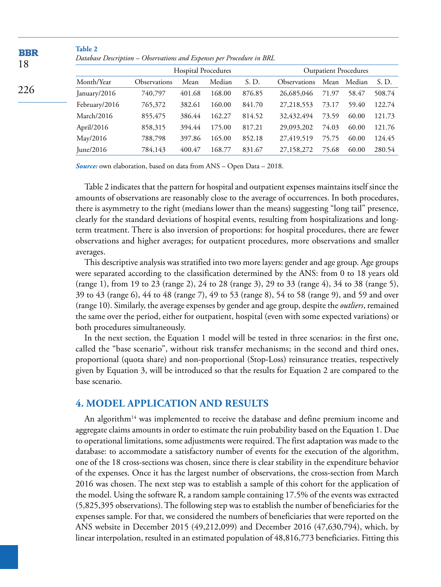| אניני<br>18 | Database Description – Observations and Expenses per Procedure in BRL |                            |        |                              |        |                     |       |        |        |  |  |  |
|-------------|-----------------------------------------------------------------------|----------------------------|--------|------------------------------|--------|---------------------|-------|--------|--------|--|--|--|
|             |                                                                       | <b>Hospital Procedures</b> |        | <b>Outpatient Procedures</b> |        |                     |       |        |        |  |  |  |
| 226         | Month/Year                                                            | Observations               | Mean   | Median                       | S. D.  | <b>Observations</b> | Mean  | Median | S. D.  |  |  |  |
|             | January $/2016$                                                       | 740,797                    | 401.68 | 168.00                       | 876.85 | 26,685,046          | 71.97 | 58.47  | 508.74 |  |  |  |
|             | February/2016                                                         | 765,372                    | 382.61 | 160.00                       | 841.70 | 27,218,553          | 73.17 | 59.40  | 122.74 |  |  |  |
|             | March/2016                                                            | 855,475                    | 386.44 | 162.27                       | 814.52 | 32,432,494          | 73.59 | 60.00  | 121.73 |  |  |  |
|             | April/2016                                                            | 858,315                    | 394.44 | 175.00                       | 817.21 | 29,093,202          | 74.03 | 60.00  | 121.76 |  |  |  |
|             | May/2016                                                              | 788,798                    | 397.86 | 165.00                       | 852.18 | 27,419,519          | 75.75 | 60.00  | 124.45 |  |  |  |
|             | June $/2016$                                                          | 784,143                    | 400.47 | 168.77                       | 831.67 | 27,158,272          | 75.68 | 60.00  | 280.54 |  |  |  |

**Table 2**

opp

*Source:* own elaboration, based on data from ANS – Open Data – 2018.

Table 2 indicates that the pattern for hospital and outpatient expenses maintains itself since the amounts of observations are reasonably close to the average of occurrences. In both procedures, there is asymmetry to the right (medians lower than the means) suggesting "long tail" presence, clearly for the standard deviations of hospital events, resulting from hospitalizations and longterm treatment. There is also inversion of proportions: for hospital procedures, there are fewer observations and higher averages; for outpatient procedures, more observations and smaller averages.

This descriptive analysis was stratified into two more layers: gender and age group. Age groups were separated according to the classification determined by the ANS: from 0 to 18 years old (range 1), from 19 to 23 (range 2), 24 to 28 (range 3), 29 to 33 (range 4), 34 to 38 (range 5), 39 to 43 (range 6), 44 to 48 (range 7), 49 to 53 (range 8), 54 to 58 (range 9), and 59 and over (range 10). Similarly, the average expenses by gender and age group, despite the *outliers*, remained the same over the period, either for outpatient, hospital (even with some expected variations) or both procedures simultaneously.

In the next section, the Equation 1 model will be tested in three scenarios: in the first one, called the "base scenario", without risk transfer mechanisms; in the second and third ones, proportional (quota share) and non-proportional (Stop-Loss) reinsurance treaties, respectively given by Equation 3, will be introduced so that the results for Equation 2 are compared to the base scenario.

### **4. MODEL APPLICATION AND RESULTS**

An algorithm<sup>14</sup> was implemented to receive the database and define premium income and aggregate claims amounts in order to estimate the ruin probability based on the Equation 1. Due to operational limitations, some adjustments were required. The first adaptation was made to the database: to accommodate a satisfactory number of events for the execution of the algorithm, one of the 18 cross-sections was chosen, since there is clear stability in the expenditure behavior of the expenses. Once it has the largest number of observations, the cross-section from March 2016 was chosen. The next step was to establish a sample of this cohort for the application of the model. Using the software R, a random sample containing 17.5% of the events was extracted (5,825,395 observations). The following step was to establish the number of beneficiaries for the expenses sample. For that, we considered the numbers of beneficiaries that were reported on the ANS website in December 2015 (49,212,099) and December 2016 (47,630,794), which, by linear interpolation, resulted in an estimated population of 48,816,773 beneficiaries. Fitting this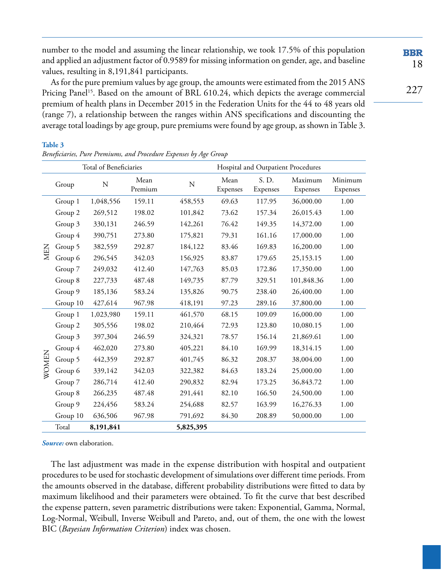number to the model and assuming the linear relationship, we took 17.5% of this population and applied an adjustment factor of 0.9589 for missing information on gender, age, and baseline values, resulting in 8,191,841 participants.

As for the pure premium values by age group, the amounts were estimated from the 2015 ANS Pricing Panel<sup>15</sup>. Based on the amount of BRL 610.24, which depicts the average commercial premium of health plans in December 2015 in the Federation Units for the 44 to 48 years old (range 7), a relationship between the ranges within ANS specifications and discounting the average total loadings by age group, pure premiums were found by age group, as shown in Table 3.

|            |          | Total of Beneficiaries |                 |             |                  | Hospital and Outpatient Procedures |                     |                     |
|------------|----------|------------------------|-----------------|-------------|------------------|------------------------------------|---------------------|---------------------|
|            | Group    | $\mathbf N$            | Mean<br>Premium | $\mathbf N$ | Mean<br>Expenses | S. D.<br>Expenses                  | Maximum<br>Expenses | Minimum<br>Expenses |
|            | Group 1  | 1,048,556              | 159.11          | 458,553     | 69.63            | 117.95                             | 36,000.00           | 1.00                |
|            | Group 2  | 269,512                | 198.02          | 101,842     | 73.62            | 157.34                             | 26,015.43           | 1.00                |
|            | Group 3  | 330,131                | 246.59          | 142,261     | 76.42            | 149.35                             | 14,372.00           | 1.00                |
|            | Group 4  | 390,751                | 273.80          | 175,821     | 79.31            | 161.16                             | 17,000.00           | 1.00                |
|            | Group 5  | 382,559                | 292.87          | 184,122     | 83.46            | 169.83                             | 16,200.00           | 1.00                |
| <b>MEN</b> | Group 6  | 296,545                | 342.03          | 156,925     | 83.87            | 179.65                             | 25,153.15           | 1.00                |
|            | Group 7  | 249,032                | 412.40          | 147,763     | 85.03            | 172.86                             | 17,350.00           | 1.00                |
|            | Group 8  | 227,733                | 487.48          | 149,735     | 87.79            | 329.51                             | 101,848.36          | 1.00                |
|            | Group 9  | 185,136                | 583.24          | 135,826     | 90.75            | 238.40                             | 26,400.00           | 1.00                |
|            | Group 10 | 427,614                | 967.98          | 418,191     | 97.23            | 289.16                             | 37,800.00           | 1.00                |
|            | Group 1  | 1,023,980              | 159.11          | 461,570     | 68.15            | 109.09                             | 16,000.00           | 1.00                |
|            | Group 2  | 305,556                | 198.02          | 210,464     | 72.93            | 123.80                             | 10,080.15           | 1.00                |
|            | Group 3  | 397,304                | 246.59          | 324,321     | 78.57            | 156.14                             | 21,869.61           | 1.00                |
|            | Group 4  | 462,020                | 273.80          | 405,221     | 84.10            | 169.99                             | 18,314.15           | 1.00                |
| WOMEN      | Group 5  | 442,359                | 292.87          | 401,745     | 86.32            | 208.37                             | 38,004.00           | 1.00                |
|            | Group 6  | 339,142                | 342.03          | 322,382     | 84.63            | 183.24                             | 25,000.00           | 1.00                |
|            | Group 7  | 286,714                | 412.40          | 290,832     | 82.94            | 173.25                             | 36,843.72           | 1.00                |
|            | Group 8  | 266,235                | 487.48          | 291,441     | 82.10            | 166.50                             | 24,500.00           | 1.00                |
|            | Group 9  | 224,456                | 583.24          | 254,688     | 82.57            | 163.99                             | 16,276.33           | 1.00                |
|            | Group 10 | 636,506                | 967.98          | 791,692     | 84.30            | 208.89                             | 50,000.00           | 1.00                |
|            | Total    | 8,191,841              |                 | 5,825,395   |                  |                                    |                     |                     |

#### *Beneficiaries, Pure Premiums, and Procedure Expenses by Age Group*

**Table 3**

*Source:* own elaboration.

The last adjustment was made in the expense distribution with hospital and outpatient procedures to be used for stochastic development of simulations over different time periods. From the amounts observed in the database, different probability distributions were fitted to data by maximum likelihood and their parameters were obtained. To fit the curve that best described the expense pattern, seven parametric distributions were taken: Exponential, Gamma, Normal, Log-Normal, Weibull, Inverse Weibull and Pareto, and, out of them, the one with the lowest BIC (*Bayesian Information Criterion*) index was chosen.

**BBR** 18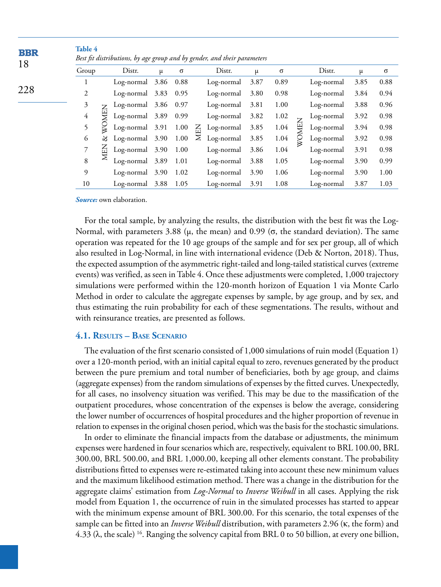| <b>BBR</b><br>18 | Table 4<br>Best fit distributions, by age group and by gender, and their parameters |            |            |      |          |            |            |      |          |                        |            |      |          |
|------------------|-------------------------------------------------------------------------------------|------------|------------|------|----------|------------|------------|------|----------|------------------------|------------|------|----------|
|                  | Group                                                                               |            | Distr.     | μ    | $\sigma$ |            | Distr.     | μ    | $\sigma$ |                        | Distr.     | μ    | $\sigma$ |
|                  |                                                                                     |            | Log-normal | 3.86 | 0.88     |            | Log-normal | 3.87 | 0.89     |                        | Log-normal | 3.85 | 0.88     |
| 228              | 2                                                                                   | Log-normal | 3.83       | 0.95 |          | Log-normal | 3.80       | 0.98 |          | Log-normal             | 3.84       | 0.94 |          |
|                  | 3                                                                                   |            | Log-normal | 3.86 | 0.97     |            | Log-normal | 3.81 | 1.00     |                        | Log-normal | 3.88 | 0.96     |
|                  | $\overline{4}$                                                                      | <b>MEN</b> | Log-normal | 3.89 | 0.99     |            | Log-normal | 3.82 | 1.02     |                        | Log-normal | 3.92 | 0.98     |
|                  | 5                                                                                   |            | Log-normal | 3.91 | 1.00     | 짐          | Log-normal | 3.85 | 1.04     | <b>MEN</b>             | Log-normal | 3.94 | 0.98     |
|                  | 6                                                                                   | ಜ          | Log-normal | 3.90 | 1.00     | Z          | Log-normal | 3.85 | 1.04     | $\overline{\text{SO}}$ | Log-normal | 3.92 | 0.98     |
|                  | 7                                                                                   | MEN        | Log-normal | 3.90 | 1.00     |            | Log-normal | 3.86 | 1.04     |                        | Log-normal | 3.91 | 0.98     |
|                  | 8                                                                                   |            | Log-normal | 3.89 | 1.01     |            | Log-normal | 3.88 | 1.05     |                        | Log-normal | 3.90 | 0.99     |
|                  | 9                                                                                   |            | Log-normal | 3.90 | 1.02     |            | Log-normal | 3.90 | 1.06     |                        | Log-normal | 3.90 | 1.00     |
|                  | 10                                                                                  |            | Log-normal | 3.88 | 1.05     |            | Log-normal | 3.91 | 1.08     |                        | Log-normal | 3.87 | 1.03     |

*Source:* own elaboration.

For the total sample, by analyzing the results, the distribution with the best fit was the Log-Normal, with parameters 3.88 (μ, the mean) and 0.99 (σ, the standard deviation). The same operation was repeated for the 10 age groups of the sample and for sex per group, all of which also resulted in Log-Normal, in line with international evidence (Deb & Norton, 2018). Thus, the expected assumption of the asymmetric right-tailed and long-tailed statistical curves (extreme events) was verified, as seen in Table 4. Once these adjustments were completed, 1,000 trajectory simulations were performed within the 120-month horizon of Equation 1 via Monte Carlo Method in order to calculate the aggregate expenses by sample, by age group, and by sex, and thus estimating the ruin probability for each of these segmentations. The results, without and with reinsurance treaties, are presented as follows.

#### **4.1. Results – Base Scenario**

The evaluation of the first scenario consisted of 1,000 simulations of ruin model (Equation 1) over a 120-month period, with an initial capital equal to zero, revenues generated by the product between the pure premium and total number of beneficiaries, both by age group, and claims (aggregate expenses) from the random simulations of expenses by the fitted curves. Unexpectedly, for all cases, no insolvency situation was verified. This may be due to the massification of the outpatient procedures, whose concentration of the expenses is below the average, considering the lower number of occurrences of hospital procedures and the higher proportion of revenue in relation to expenses in the original chosen period, which was the basis for the stochastic simulations.

In order to eliminate the financial impacts from the database or adjustments, the minimum expenses were hardened in four scenarios which are, respectively, equivalent to BRL 100.00, BRL 300.00, BRL 500.00, and BRL 1,000.00, keeping all other elements constant. The probability distributions fitted to expenses were re-estimated taking into account these new minimum values and the maximum likelihood estimation method. There was a change in the distribution for the aggregate claims' estimation from *Log-Normal* to *Inverse Weibull* in all cases. Applying the risk model from Equation 1, the occurrence of ruin in the simulated processes has started to appear with the minimum expense amount of BRL 300.00. For this scenario, the total expenses of the sample can be fitted into an *Inverse Weibull* distribution, with parameters 2.96 (κ, the form) and 4.33 ( $\lambda$ , the scale) <sup>16</sup>. Ranging the solvency capital from BRL 0 to 50 billion, at every one billion,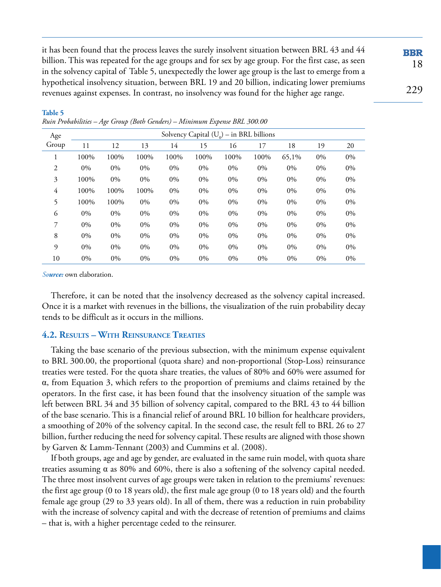it has been found that the process leaves the surely insolvent situation between BRL 43 and 44 billion. This was repeated for the age groups and for sex by age group. For the first case, as seen in the solvency capital of Table 5, unexpectedly the lower age group is the last to emerge from a hypothetical insolvency situation, between BRL 19 and 20 billion, indicating lower premiums revenues against expenses. In contrast, no insolvency was found for the higher age range.

| Age            | Solvency Capital $(U_0)$ – in BRL billions |       |       |       |       |       |       |       |       |       |
|----------------|--------------------------------------------|-------|-------|-------|-------|-------|-------|-------|-------|-------|
| Group          | 11                                         | 12    | 13    | 14    | 15    | 16    | 17    | 18    | 19    | 20    |
| T              | 100%                                       | 100%  | 100%  | 100%  | 100%  | 100%  | 100%  | 65,1% | $0\%$ | 0%    |
| 2              | 0%                                         | 0%    | $0\%$ | 0%    | $0\%$ | $0\%$ | 0%    | 0%    | $0\%$ | 0%    |
| 3              | 100%                                       | 0%    | $0\%$ | 0%    | $0\%$ | $0\%$ | $0\%$ | 0%    | $0\%$ | 0%    |
| $\overline{4}$ | 100%                                       | 100%  | 100%  | 0%    | $0\%$ | $0\%$ | $0\%$ | 0%    | $0\%$ | 0%    |
| 5              | 100%                                       | 100%  | 0%    | 0%    | $0\%$ | $0\%$ | $0\%$ | 0%    | $0\%$ | 0%    |
| 6              | $0\%$                                      | $0\%$ | $0\%$ | $0\%$ | $0\%$ | $0\%$ | $0\%$ | 0%    | $0\%$ | $0\%$ |
| 7              | $0\%$                                      | $0\%$ | $0\%$ | 0%    | $0\%$ | $0\%$ | $0\%$ | 0%    | 0%    | $0\%$ |
| 8              | 0%                                         | $0\%$ | $0\%$ | $0\%$ | $0\%$ | $0\%$ | $0\%$ | 0%    | 0%    | $0\%$ |
| 9              | 0%                                         | 0%    | $0\%$ | $0\%$ | $0\%$ | $0\%$ | $0\%$ | 0%    | 0%    | $0\%$ |
| 10             | $0\%$                                      | 0%    | $0\%$ | 0%    | $0\%$ | $0\%$ | 0%    | 0%    | 0%    | 0%    |

**Table 5** *Ruin Probabilities – Age Group (Both Genders) – Minimum Expense BRL 300.00*

*Source:* own elaboration.

Therefore, it can be noted that the insolvency decreased as the solvency capital increased. Once it is a market with revenues in the billions, the visualization of the ruin probability decay tends to be difficult as it occurs in the millions.

#### **4.2. Results – With Reinsurance Treaties**

Taking the base scenario of the previous subsection, with the minimum expense equivalent to BRL 300.00, the proportional (quota share) and non-proportional (Stop-Loss) reinsurance treaties were tested. For the quota share treaties, the values of 80% and 60% were assumed for α, from Equation 3, which refers to the proportion of premiums and claims retained by the operators. In the first case, it has been found that the insolvency situation of the sample was left between BRL 34 and 35 billion of solvency capital, compared to the BRL 43 to 44 billion of the base scenario. This is a financial relief of around BRL 10 billion for healthcare providers, a smoothing of 20% of the solvency capital. In the second case, the result fell to BRL 26 to 27 billion, further reducing the need for solvency capital. These results are aligned with those shown by Garven & Lamm-Tennant (2003) and Cummins et al. (2008).

If both groups, age and age by gender, are evaluated in the same ruin model, with quota share treaties assuming  $\alpha$  as 80% and 60%, there is also a softening of the solvency capital needed. The three most insolvent curves of age groups were taken in relation to the premiums' revenues: the first age group (0 to 18 years old), the first male age group (0 to 18 years old) and the fourth female age group (29 to 33 years old). In all of them, there was a reduction in ruin probability with the increase of solvency capital and with the decrease of retention of premiums and claims – that is, with a higher percentage ceded to the reinsurer.

**BBR** 18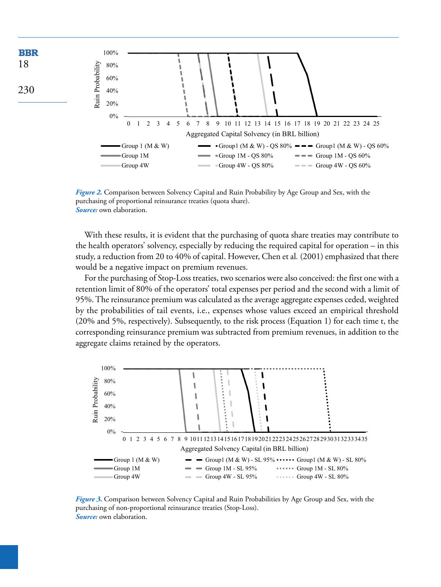

*Figure 2.* Comparison between Solvency Capital and Ruin Probability by Age Group and Sex, with the purchasing of proportional reinsurance treaties (quota share). *Source:* own elaboration.

With these results, it is evident that the purchasing of quota share treaties may contribute to the health operators' solvency, especially by reducing the required capital for operation – in this study, a reduction from 20 to 40% of capital. However, Chen et al*.* (2001) emphasized that there would be a negative impact on premium revenues.

For the purchasing of Stop-Loss treaties, two scenarios were also conceived: the first one with a retention limit of 80% of the operators' total expenses per period and the second with a limit of 95%. The reinsurance premium was calculated as the average aggregate expenses ceded, weighted by the probabilities of tail events, i.e., expenses whose values exceed an empirical threshold (20% and 5%, respectively). Subsequently, to the risk process (Equation 1) for each time t, the corresponding reinsurance premium was subtracted from premium revenues, in addition to the aggregate claims retained by the operators.



*Figure 3.* Comparison between Solvency Capital and Ruin Probabilities by Age Group and Sex, with the purchasing of non-proportional reinsurance treaties (Stop-Loss). *Source:* own elaboration.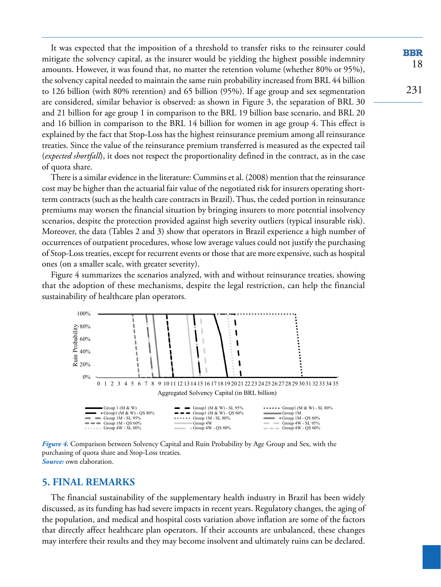It was expected that the imposition of a threshold to transfer risks to the reinsurer could mitigate the solvency capital, as the insurer would be yielding the highest possible indemnity amounts. However, it was found that, no matter the retention volume (whether 80% or 95%), the solvency capital needed to maintain the same ruin probability increased from BRL 44 billion to 126 billion (with 80% retention) and 65 billion (95%). If age group and sex segmentation are considered, similar behavior is observed: as shown in Figure 3, the separation of BRL 30 and 21 billion for age group 1 in comparison to the BRL 19 billion base scenario, and BRL 20 and 16 billion in comparison to the BRL 14 billion for women in age group 4. This effect is explained by the fact that Stop-Loss has the highest reinsurance premium among all reinsurance treaties. Since the value of the reinsurance premium transferred is measured as the expected tail (*expected shortfall*), it does not respect the proportionality defined in the contract, as in the case of quota share.

There is a similar evidence in the literature: Cummins et al. (2008) mention that the reinsurance cost may be higher than the actuarial fair value of the negotiated risk for insurers operating shortterm contracts (such as the health care contracts in Brazil). Thus, the ceded portion in reinsurance premiums may worsen the financial situation by bringing insurers to more potential insolvency scenarios, despite the protection provided against high severity outliers (typical insurable risk). Moreover, the data (Tables 2 and 3) show that operators in Brazil experience a high number of occurrences of outpatient procedures, whose low average values could not justify the purchasing of Stop-Loss treaties, except for recurrent events or those that are more expensive, such as hospital ones (on a smaller scale, with greater severity).

Figure 4 summarizes the scenarios analyzed, with and without reinsurance treaties, showing that the adoption of these mechanisms, despite the legal restriction, can help the financial sustainability of healthcare plan operators.



*Figure 4.* Comparison between Solvency Capital and Ruin Probability by Age Group and Sex, with the purchasing of quota share and Stop-Loss treaties. *Source:* own elaboration.

### **5. FINAL REMARKS**

The financial sustainability of the supplementary health industry in Brazil has been widely discussed, as its funding has had severe impacts in recent years. Regulatory changes, the aging of the population, and medical and hospital costs variation above inflation are some of the factors that directly affect healthcare plan operators. If their accounts are unbalanced, these changes may interfere their results and they may become insolvent and ultimately ruins can be declared.

**BBR** 18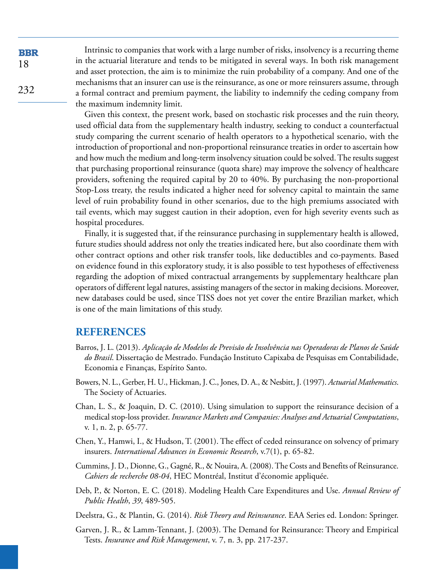Intrinsic to companies that work with a large number of risks, insolvency is a recurring theme in the actuarial literature and tends to be mitigated in several ways. In both risk management and asset protection, the aim is to minimize the ruin probability of a company. And one of the mechanisms that an insurer can use is the reinsurance, as one or more reinsurers assume, through a formal contract and premium payment, the liability to indemnify the ceding company from the maximum indemnity limit.

Given this context, the present work, based on stochastic risk processes and the ruin theory, used official data from the supplementary health industry, seeking to conduct a counterfactual study comparing the current scenario of health operators to a hypothetical scenario, with the introduction of proportional and non-proportional reinsurance treaties in order to ascertain how and how much the medium and long-term insolvency situation could be solved. The results suggest that purchasing proportional reinsurance (quota share) may improve the solvency of healthcare providers, softening the required capital by 20 to 40%. By purchasing the non-proportional Stop-Loss treaty, the results indicated a higher need for solvency capital to maintain the same level of ruin probability found in other scenarios, due to the high premiums associated with tail events, which may suggest caution in their adoption, even for high severity events such as hospital procedures.

Finally, it is suggested that, if the reinsurance purchasing in supplementary health is allowed, future studies should address not only the treaties indicated here, but also coordinate them with other contract options and other risk transfer tools, like deductibles and co-payments. Based on evidence found in this exploratory study, it is also possible to test hypotheses of effectiveness regarding the adoption of mixed contractual arrangements by supplementary healthcare plan operators of different legal natures, assisting managers of the sector in making decisions. Moreover, new databases could be used, since TISS does not yet cover the entire Brazilian market, which is one of the main limitations of this study.

### **REFERENCES**

18

**BBR** 

- Barros, J. L. (2013). *Aplicação de Modelos de Previsão de Insolvência nas Operadoras de Planos de Saúde do Brasil*. Dissertação de Mestrado. Fundação Instituto Capixaba de Pesquisas em Contabilidade, Economia e Finanças, Espírito Santo.
- Bowers, N. L., Gerber, H. U., Hickman, J. C., Jones, D. A., & Nesbitt, J. (1997). *Actuarial Mathematics*. The Society of Actuaries.
- Chan, L. S., & Joaquin, D. C. (2010). Using simulation to support the reinsurance decision of a medical stop-loss provider. *Insurance Markets and Companies: Analyses and Actuarial Computations*, v. 1, n. 2, p. 65-77.
- Chen, Y., Hamwi, I., & Hudson, T. (2001). The effect of ceded reinsurance on solvency of primary insurers. *International Advances in Economic Research*, v.7(1), p. 65-82.
- Cummins, J. D., Dionne, G., Gagné, R., & Nouira, A. (2008). The Costs and Benefits of Reinsurance. *Cahiers de recherche 08-04*, HEC Montréal, Institut d'économie appliquée.
- Deb, P., & Norton, E. C. (2018). Modeling Health Care Expenditures and Use. *Annual Review of Public Health*, *39*, 489-505.
- Deelstra, G., & Plantin, G. (2014). *Risk Theory and Reinsurance*. EAA Series ed. London: Springer.
- Garven, J. R., & Lamm-Tennant, J. (2003). The Demand for Reinsurance: Theory and Empirical Tests. *Insurance and Risk Management*, v. 7, n. 3, pp. 217-237.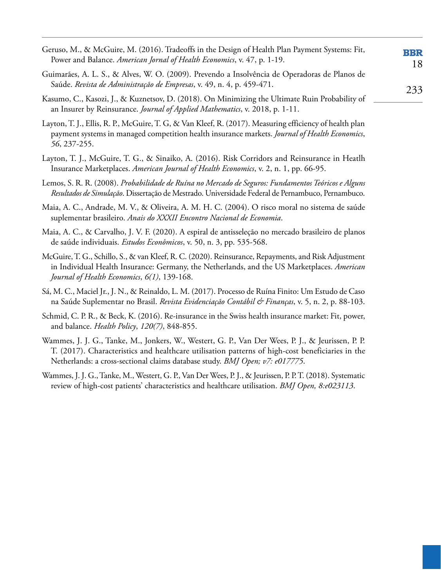| Geruso, M., & McGuire, M. (2016). Tradeoffs in the Design of Health Plan Payment Systems: Fit,<br>Power and Balance. American Jornal of Health Economics, v. 47, p. 1-19.                                                                                                             | <b>BBR</b><br>18 |
|---------------------------------------------------------------------------------------------------------------------------------------------------------------------------------------------------------------------------------------------------------------------------------------|------------------|
| Guimarães, A. L. S., & Alves, W. O. (2009). Prevendo a Insolvência de Operadoras de Planos de<br>Saúde. Revista de Administração de Empresas, v. 49, n. 4, p. 459-471.                                                                                                                | 233              |
| Kasumo, C., Kasozi, J., & Kuznetsov, D. (2018). On Minimizing the Ultimate Ruin Probability of<br>an Insurer by Reinsurance. Journal of Applied Mathematics, v. 2018, p. 1-11.                                                                                                        |                  |
| Layton, T. J., Ellis, R. P., McGuire, T. G, & Van Kleef, R. (2017). Measuring efficiency of health plan<br>payment systems in managed competition health insurance markets. Journal of Health Economics,<br>56, 237-255.                                                              |                  |
| Layton, T. J., McGuire, T. G., & Sinaiko, A. (2016). Risk Corridors and Reinsurance in Heatlh<br>Insurance Marketplaces. American Journal of Health Economics, v. 2, n. 1, pp. 66-95.                                                                                                 |                  |
| Lemos, S. R. R. (2008). Probabilidade de Ruína no Mercado de Seguros: Fundamentos Teóricos e Alguns<br>Resultados de Simulação. Dissertação de Mestrado. Universidade Federal de Pernambuco, Pernambuco.                                                                              |                  |
| Maia, A. C., Andrade, M. V., & Oliveira, A. M. H. C. (2004). O risco moral no sistema de saúde<br>suplementar brasileiro. Anais do XXXII Encontro Nacional de Economia.                                                                                                               |                  |
| Maia, A. C., & Carvalho, J. V. F. (2020). A espiral de antisseleção no mercado brasileiro de planos<br>de saúde individuais. Estudos Econômicos, v. 50, n. 3, pp. 535-568.                                                                                                            |                  |
| McGuire, T. G., Schillo, S., & van Kleef, R. C. (2020). Reinsurance, Repayments, and Risk Adjustment<br>in Individual Health Insurance: Germany, the Netherlands, and the US Marketplaces. American<br>Journal of Health Economics, 6(1), 139-168.                                    |                  |
| Sá, M. C., Maciel Jr., J. N., & Reinaldo, L. M. (2017). Processo de Ruína Finito: Um Estudo de Caso<br>na Saúde Suplementar no Brasil. Revista Evidenciação Contábil & Finanças, v. 5, n. 2, p. 88-103.                                                                               |                  |
| Schmid, C. P. R., & Beck, K. (2016). Re-insurance in the Swiss health insurance market: Fit, power,<br>and balance. <i>Health Policy</i> , 120(7), 848-855.                                                                                                                           |                  |
| Wammes, J. J. G., Tanke, M., Jonkers, W., Westert, G. P., Van Der Wees, P. J., & Jeurissen, P. P.<br>T. (2017). Characteristics and healthcare utilisation patterns of high-cost beneficiaries in the<br>Netherlands: a cross-sectional claims database study. BMJ Open; v7: e017775. |                  |
| Wammes, J. J. G., Tanke, M., Westert, G. P., Van Der Wees, P. J., & Jeurissen, P. P. T. (2018). Systematic<br>review of high-cost patients' characteristics and healthcare utilisation. BMJ Open, 8:e023113.                                                                          |                  |
|                                                                                                                                                                                                                                                                                       |                  |
|                                                                                                                                                                                                                                                                                       |                  |
|                                                                                                                                                                                                                                                                                       |                  |
|                                                                                                                                                                                                                                                                                       |                  |
|                                                                                                                                                                                                                                                                                       |                  |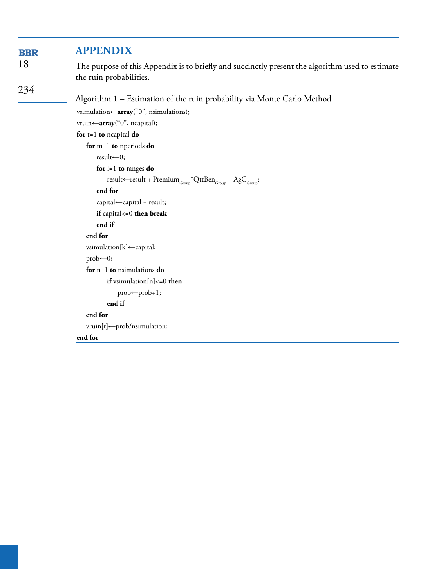#### **APPENDIX BBR**

18

234

# The purpose of this Appendix is to briefly and succinctly present the algorithm used to estimate the ruin probabilities.

## Algorithm 1 – Estimation of the ruin probability via Monte Carlo Method

```
vsimulation←array("0", nsimulations);
vruin←array("0", ncapital);
for t=1 to ncapital do
   for m=1 to nperiods do
       result←0;
       for i=1 to ranges do
           result←result + Premium<sub>Group</sub>*QttBen<sub>Group</sub> – AgC<sub>Group</sub>;
       end for
       capital←capital + result;
       if capital<=0 then break
       end if
   end for
   vsimulation[k]←capital;
   prob \leftarrow 0;for n=1 to nsimulations do
           if vsimulation[n]<=0 then
               prob←prob+1;
           end if
   end for
   vruin[t]←prob/nsimulation;
end for
```